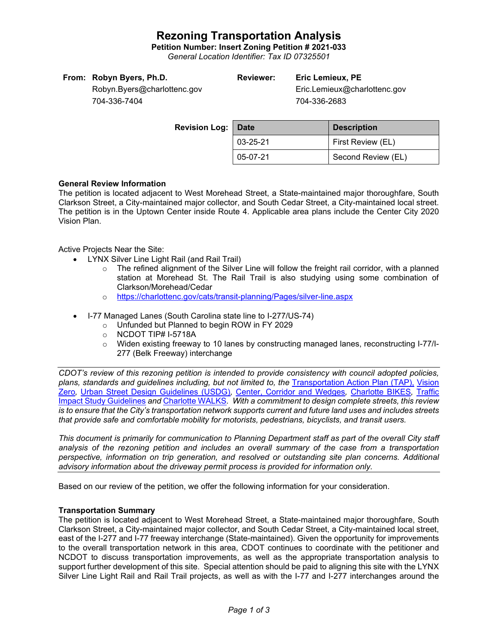## **Rezoning Transportation Analysis**

**Petition Number: Insert Zoning Petition # 2021-033**

*General Location Identifier: Tax ID 07325501*

| From: Robyn Byers, Ph.D. |  |  |  |
|--------------------------|--|--|--|
|--------------------------|--|--|--|

## **Reviewer: Eric Lemieux, PE**

Eric.Lemieux@charlottenc.gov 704-336-2683

Robyn.Byers@charlottenc.gov 704-336-7404

| Revision Log: Date |                | <b>Description</b> |  |
|--------------------|----------------|--------------------|--|
|                    | $03 - 25 - 21$ | First Review (EL)  |  |
|                    | 05-07-21       | Second Review (EL) |  |

### **General Review Information**

The petition is located adjacent to West Morehead Street, a State-maintained major thoroughfare, South Clarkson Street, a City-maintained major collector, and South Cedar Street, a City-maintained local street. The petition is in the Uptown Center inside Route 4. Applicable area plans include the Center City 2020 Vision Plan.

Active Projects Near the Site:

- LYNX Silver Line Light Rail (and Rail Trail)
	- $\circ$  The refined alignment of the Silver Line will follow the freight rail corridor, with a planned station at Morehead St. The Rail Trail is also studying using some combination of Clarkson/Morehead/Cedar
	- o <https://charlottenc.gov/cats/transit-planning/Pages/silver-line.aspx>
- I-77 Managed Lanes (South Carolina state line to I-277/US-74)
	- o Unfunded but Planned to begin ROW in FY 2029
	- o NCDOT TIP# I-5718A
	- o Widen existing freeway to 10 lanes by constructing managed lanes, reconstructing I-77/I-277 (Belk Freeway) interchange

*CDOT's review of this rezoning petition is intended to provide consistency with council adopted policies, plans, standards and guidelines including, but not limited to, the* [Transportation Action Plan \(TAP\),](https://charlottenc.gov/Transportation/Programs/Pages/TransportationActionPlan.aspx) [Vision](https://charlottenc.gov/VisionZero/Pages/VisionZero.aspx)  [Zero](https://charlottenc.gov/VisionZero/Pages/VisionZero.aspx)*,* [Urban Street Design Guidelines \(USDG\)](https://charlottenc.gov/Transportation/PlansProjects/Documents/USDG%20Full%20Document.pdf)*,* [Center, Corridor and Wedges](http://ww.charmeck.org/Planning/Land%20Use%20Planning/CentersCorridorsWedges/CentersCorridorsWedges(Adopted).pdf)*,* [Charlotte BIKES](https://charlottenc.gov/Transportation/Programs/Pages/Bicycle.aspx)*,* [Traffic](https://charlottenc.gov/Transportation/Permits/Documents/TISProcessandGuildlines.pdf)  [Impact Study Guidelines](https://charlottenc.gov/Transportation/Permits/Documents/TISProcessandGuildlines.pdf) *and* [Charlotte WALKS](https://charlottenc.gov/Transportation/Programs/Pages/CharlotteWalks.aspx)*. With a commitment to design complete streets, this review is to ensure that the City's transportation network supports current and future land uses and includes streets that provide safe and comfortable mobility for motorists, pedestrians, bicyclists, and transit users.*

*This document is primarily for communication to Planning Department staff as part of the overall City staff analysis of the rezoning petition and includes an overall summary of the case from a transportation perspective, information on trip generation, and resolved or outstanding site plan concerns. Additional advisory information about the driveway permit process is provided for information only.*

Based on our review of the petition, we offer the following information for your consideration.

#### **Transportation Summary**

The petition is located adjacent to West Morehead Street, a State-maintained major thoroughfare, South Clarkson Street, a City-maintained major collector, and South Cedar Street, a City-maintained local street, east of the I-277 and I-77 freeway interchange (State-maintained). Given the opportunity for improvements to the overall transportation network in this area, CDOT continues to coordinate with the petitioner and NCDOT to discuss transportation improvements, as well as the appropriate transportation analysis to support further development of this site. Special attention should be paid to aligning this site with the LYNX Silver Line Light Rail and Rail Trail projects, as well as with the I-77 and I-277 interchanges around the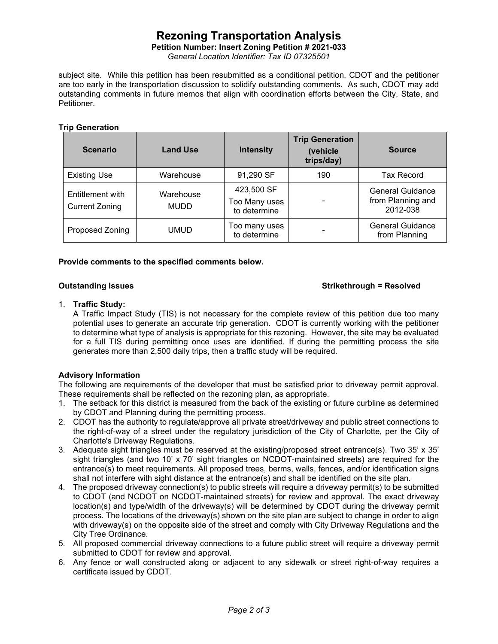## **Rezoning Transportation Analysis**

**Petition Number: Insert Zoning Petition # 2021-033**

*General Location Identifier: Tax ID 07325501*

subject site. While this petition has been resubmitted as a conditional petition, CDOT and the petitioner are too early in the transportation discussion to solidify outstanding comments. As such, CDOT may add outstanding comments in future memos that align with coordination efforts between the City, State, and Petitioner.

#### **Trip Generation**

| <b>Scenario</b>                           | <b>Land Use</b>          | <b>Intensity</b>                            | <b>Trip Generation</b><br>(vehicle<br>trips/day) | <b>Source</b>                                            |
|-------------------------------------------|--------------------------|---------------------------------------------|--------------------------------------------------|----------------------------------------------------------|
| <b>Existing Use</b>                       | Warehouse                | 91,290 SF                                   | 190                                              | Tax Record                                               |
| Entitlement with<br><b>Current Zoning</b> | Warehouse<br><b>MUDD</b> | 423,500 SF<br>Too Many uses<br>to determine |                                                  | <b>General Guidance</b><br>from Planning and<br>2012-038 |
| Proposed Zoning                           | UMUD                     | Too many uses<br>to determine               |                                                  | General Guidance<br>from Planning                        |

#### **Provide comments to the specified comments below.**

#### **Outstanding Issues Strikethrough = Resolved**

#### 1. **Traffic Study:**

A Traffic Impact Study (TIS) is not necessary for the complete review of this petition due too many potential uses to generate an accurate trip generation. CDOT is currently working with the petitioner to determine what type of analysis is appropriate for this rezoning. However, the site may be evaluated for a full TIS during permitting once uses are identified. If during the permitting process the site generates more than 2,500 daily trips, then a traffic study will be required.

#### **Advisory Information**

The following are requirements of the developer that must be satisfied prior to driveway permit approval. These requirements shall be reflected on the rezoning plan, as appropriate.

- 1. The setback for this district is measured from the back of the existing or future curbline as determined by CDOT and Planning during the permitting process.
- 2. CDOT has the authority to regulate/approve all private street/driveway and public street connections to the right-of-way of a street under the regulatory jurisdiction of the City of Charlotte, per the City of Charlotte's Driveway Regulations.
- 3. Adequate sight triangles must be reserved at the existing/proposed street entrance(s). Two 35' x 35' sight triangles (and two 10' x 70' sight triangles on NCDOT-maintained streets) are required for the entrance(s) to meet requirements. All proposed trees, berms, walls, fences, and/or identification signs shall not interfere with sight distance at the entrance(s) and shall be identified on the site plan.
- 4. The proposed driveway connection(s) to public streets will require a driveway permit(s) to be submitted to CDOT (and NCDOT on NCDOT-maintained streets) for review and approval. The exact driveway location(s) and type/width of the driveway(s) will be determined by CDOT during the driveway permit process. The locations of the driveway(s) shown on the site plan are subject to change in order to align with driveway(s) on the opposite side of the street and comply with City Driveway Regulations and the City Tree Ordinance.
- 5. All proposed commercial driveway connections to a future public street will require a driveway permit submitted to CDOT for review and approval.
- 6. Any fence or wall constructed along or adjacent to any sidewalk or street right-of-way requires a certificate issued by CDOT.